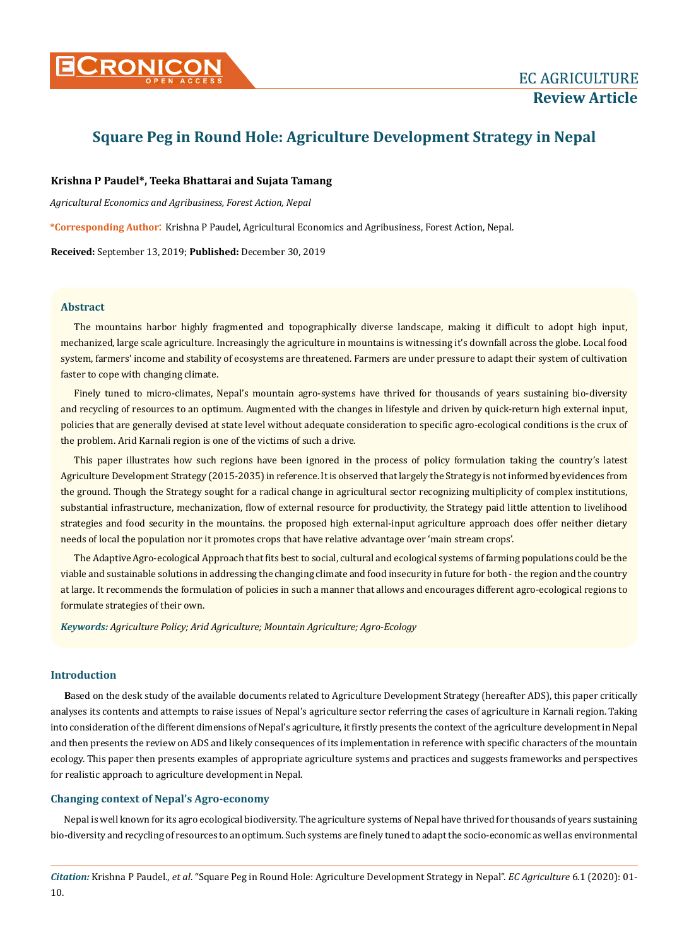

# **Square Peg in Round Hole: Agriculture Development Strategy in Nepal**

## **Krishna P Paudel\*, Teeka Bhattarai and Sujata Tamang**

*Agricultural Economics and Agribusiness, Forest Action, Nepal*

**\*Corresponding Author**: Krishna P Paudel, Agricultural Economics and Agribusiness, Forest Action, Nepal.

**Received:** September 13, 2019; **Published:** December 30, 2019

## **Abstract**

The mountains harbor highly fragmented and topographically diverse landscape, making it difficult to adopt high input, mechanized, large scale agriculture. Increasingly the agriculture in mountains is witnessing it's downfall across the globe. Local food system, farmers' income and stability of ecosystems are threatened. Farmers are under pressure to adapt their system of cultivation faster to cope with changing climate.

Finely tuned to micro-climates, Nepal's mountain agro-systems have thrived for thousands of years sustaining bio-diversity and recycling of resources to an optimum. Augmented with the changes in lifestyle and driven by quick-return high external input, policies that are generally devised at state level without adequate consideration to specific agro-ecological conditions is the crux of the problem. Arid Karnali region is one of the victims of such a drive.

This paper illustrates how such regions have been ignored in the process of policy formulation taking the country's latest Agriculture Development Strategy (2015-2035) in reference. It is observed that largely the Strategy is not informed by evidences from the ground. Though the Strategy sought for a radical change in agricultural sector recognizing multiplicity of complex institutions, substantial infrastructure, mechanization, flow of external resource for productivity, the Strategy paid little attention to livelihood strategies and food security in the mountains. the proposed high external-input agriculture approach does offer neither dietary needs of local the population nor it promotes crops that have relative advantage over 'main stream crops'.

The Adaptive Agro-ecological Approach that fits best to social, cultural and ecological systems of farming populations could be the viable and sustainable solutions in addressing the changing climate and food insecurity in future for both - the region and the country at large. It recommends the formulation of policies in such a manner that allows and encourages different agro-ecological regions to formulate strategies of their own.

*Keywords: Agriculture Policy; Arid Agriculture; Mountain Agriculture; Agro-Ecology* 

## **Introduction**

**B**ased on the desk study of the available documents related to Agriculture Development Strategy (hereafter ADS), this paper critically analyses its contents and attempts to raise issues of Nepal's agriculture sector referring the cases of agriculture in Karnali region. Taking into consideration of the different dimensions of Nepal's agriculture, it firstly presents the context of the agriculture development in Nepal and then presents the review on ADS and likely consequences of its implementation in reference with specific characters of the mountain ecology. This paper then presents examples of appropriate agriculture systems and practices and suggests frameworks and perspectives for realistic approach to agriculture development in Nepal.

# **Changing context of Nepal's Agro-economy**

Nepal is well known for its agro ecological biodiversity. The agriculture systems of Nepal have thrived for thousands of years sustaining bio-diversity and recycling of resources to an optimum. Such systems are finely tuned to adapt the socio-economic as well as environmental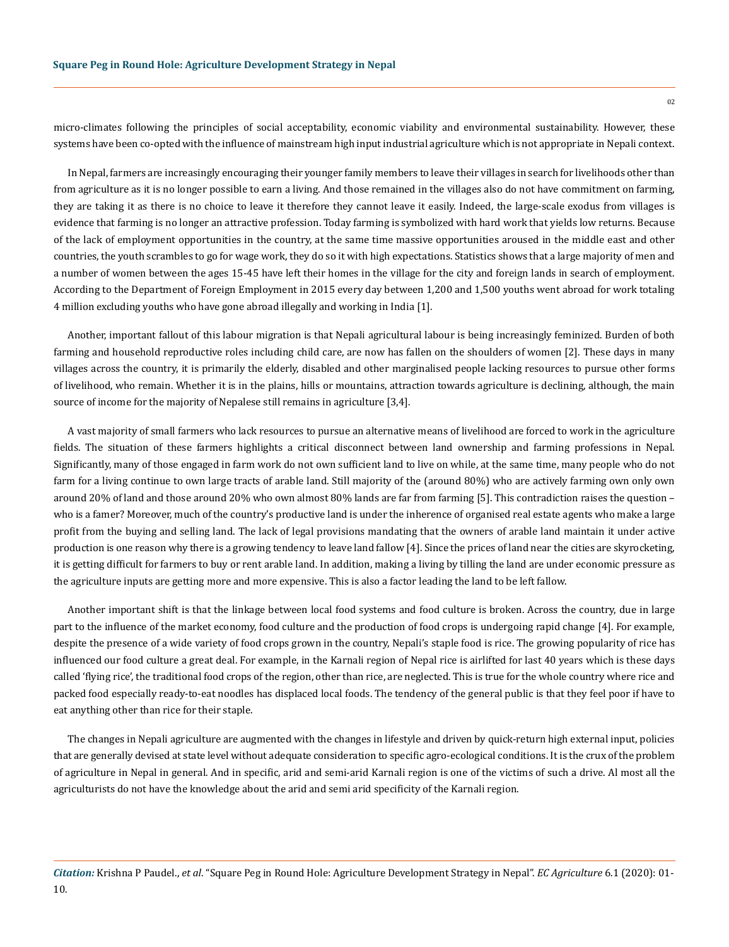micro-climates following the principles of social acceptability, economic viability and environmental sustainability. However, these systems have been co-opted with the influence of mainstream high input industrial agriculture which is not appropriate in Nepali context.

In Nepal, farmers are increasingly encouraging their younger family members to leave their villages in search for livelihoods other than from agriculture as it is no longer possible to earn a living. And those remained in the villages also do not have commitment on farming, they are taking it as there is no choice to leave it therefore they cannot leave it easily. Indeed, the large-scale exodus from villages is evidence that farming is no longer an attractive profession. Today farming is symbolized with hard work that yields low returns. Because of the lack of employment opportunities in the country, at the same time massive opportunities aroused in the middle east and other countries, the youth scrambles to go for wage work, they do so it with high expectations. Statistics shows that a large majority of men and a number of women between the ages 15-45 have left their homes in the village for the city and foreign lands in search of employment. According to the Department of Foreign Employment in 2015 every day between 1,200 and 1,500 youths went abroad for work totaling 4 million excluding youths who have gone abroad illegally and working in India [1].

Another, important fallout of this labour migration is that Nepali agricultural labour is being increasingly feminized. Burden of both farming and household reproductive roles including child care, are now has fallen on the shoulders of women [2]. These days in many villages across the country, it is primarily the elderly, disabled and other marginalised people lacking resources to pursue other forms of livelihood, who remain. Whether it is in the plains, hills or mountains, attraction towards agriculture is declining, although, the main source of income for the majority of Nepalese still remains in agriculture [3,4].

A vast majority of small farmers who lack resources to pursue an alternative means of livelihood are forced to work in the agriculture fields. The situation of these farmers highlights a critical disconnect between land ownership and farming professions in Nepal. Significantly, many of those engaged in farm work do not own sufficient land to live on while, at the same time, many people who do not farm for a living continue to own large tracts of arable land. Still majority of the (around 80%) who are actively farming own only own around 20% of land and those around 20% who own almost 80% lands are far from farming [5]. This contradiction raises the question – who is a famer? Moreover, much of the country's productive land is under the inherence of organised real estate agents who make a large profit from the buying and selling land. The lack of legal provisions mandating that the owners of arable land maintain it under active production is one reason why there is a growing tendency to leave land fallow [4]. Since the prices of land near the cities are skyrocketing, it is getting difficult for farmers to buy or rent arable land. In addition, making a living by tilling the land are under economic pressure as the agriculture inputs are getting more and more expensive. This is also a factor leading the land to be left fallow.

Another important shift is that the linkage between local food systems and food culture is broken. Across the country, due in large part to the influence of the market economy, food culture and the production of food crops is undergoing rapid change [4]. For example, despite the presence of a wide variety of food crops grown in the country, Nepali's staple food is rice. The growing popularity of rice has influenced our food culture a great deal. For example, in the Karnali region of Nepal rice is airlifted for last 40 years which is these days called 'flying rice', the traditional food crops of the region, other than rice, are neglected. This is true for the whole country where rice and packed food especially ready-to-eat noodles has displaced local foods. The tendency of the general public is that they feel poor if have to eat anything other than rice for their staple.

The changes in Nepali agriculture are augmented with the changes in lifestyle and driven by quick-return high external input, policies that are generally devised at state level without adequate consideration to specific agro-ecological conditions. It is the crux of the problem of agriculture in Nepal in general. And in specific, arid and semi-arid Karnali region is one of the victims of such a drive. Al most all the agriculturists do not have the knowledge about the arid and semi arid specificity of the Karnali region.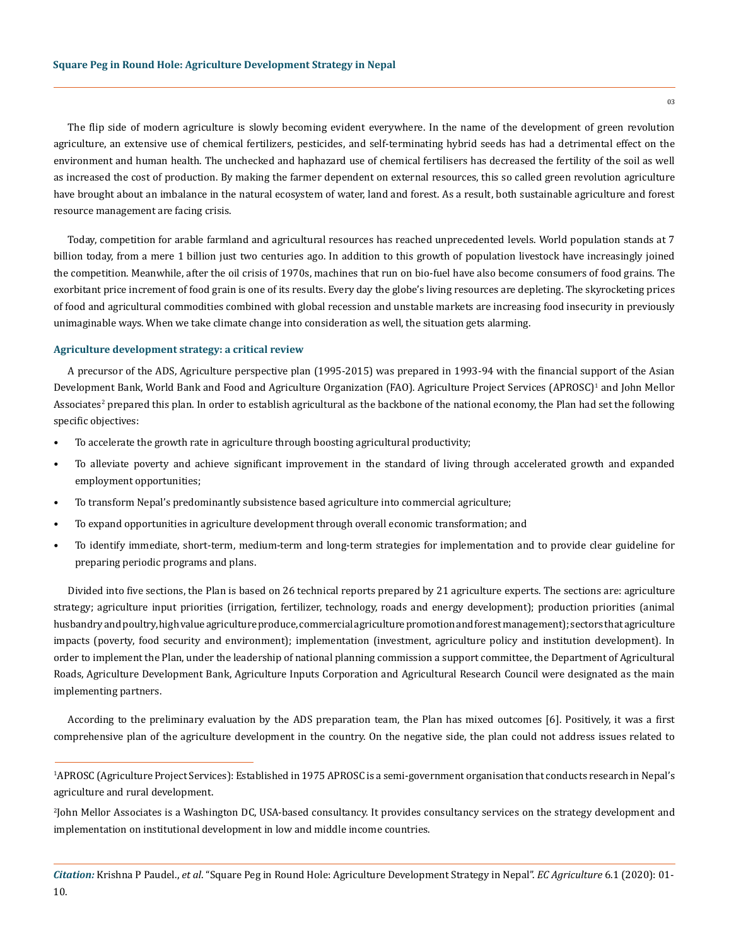The flip side of modern agriculture is slowly becoming evident everywhere. In the name of the development of green revolution agriculture, an extensive use of chemical fertilizers, pesticides, and self-terminating hybrid seeds has had a detrimental effect on the environment and human health. The unchecked and haphazard use of chemical fertilisers has decreased the fertility of the soil as well as increased the cost of production. By making the farmer dependent on external resources, this so called green revolution agriculture have brought about an imbalance in the natural ecosystem of water, land and forest. As a result, both sustainable agriculture and forest resource management are facing crisis.

Today, competition for arable farmland and agricultural resources has reached unprecedented levels. World population stands at 7 billion today, from a mere 1 billion just two centuries ago. In addition to this growth of population livestock have increasingly joined the competition. Meanwhile, after the oil crisis of 1970s, machines that run on bio-fuel have also become consumers of food grains. The exorbitant price increment of food grain is one of its results. Every day the globe's living resources are depleting. The skyrocketing prices of food and agricultural commodities combined with global recession and unstable markets are increasing food insecurity in previously unimaginable ways. When we take climate change into consideration as well, the situation gets alarming.

#### **Agriculture development strategy: a critical review**

A precursor of the ADS, Agriculture perspective plan (1995-2015) was prepared in 1993-94 with the financial support of the Asian Development Bank, World Bank and Food and Agriculture Organization (FAO). Agriculture Project Services (APROSC)<sup>1</sup> and John Mellor Associates<sup>2</sup> prepared this plan. In order to establish agricultural as the backbone of the national economy, the Plan had set the following specific objectives:

- To accelerate the growth rate in agriculture through boosting agricultural productivity;
- To alleviate poverty and achieve significant improvement in the standard of living through accelerated growth and expanded employment opportunities;
- To transform Nepal's predominantly subsistence based agriculture into commercial agriculture;
- To expand opportunities in agriculture development through overall economic transformation; and
- To identify immediate, short-term, medium-term and long-term strategies for implementation and to provide clear guideline for preparing periodic programs and plans.

Divided into five sections, the Plan is based on 26 technical reports prepared by 21 agriculture experts. The sections are: agriculture strategy; agriculture input priorities (irrigation, fertilizer, technology, roads and energy development); production priorities (animal husbandry and poultry, high value agriculture produce, commercial agriculture promotion and forest management); sectors that agriculture impacts (poverty, food security and environment); implementation (investment, agriculture policy and institution development). In order to implement the Plan, under the leadership of national planning commission a support committee, the Department of Agricultural Roads, Agriculture Development Bank, Agriculture Inputs Corporation and Agricultural Research Council were designated as the main implementing partners.

According to the preliminary evaluation by the ADS preparation team, the Plan has mixed outcomes [6]. Positively, it was a first comprehensive plan of the agriculture development in the country. On the negative side, the plan could not address issues related to

<sup>1</sup> APROSC (Agriculture Project Services): Established in 1975 APROSC is a semi-government organisation that conducts research in Nepal's agriculture and rural development.

<sup>2</sup> John Mellor Associates is a Washington DC, USA-based consultancy. It provides consultancy services on the strategy development and implementation on institutional development in low and middle income countries.

*Citation:* Krishna P Paudel., *et al*. "Square Peg in Round Hole: Agriculture Development Strategy in Nepal". *EC Agriculture* 6.1 (2020): 01- 10.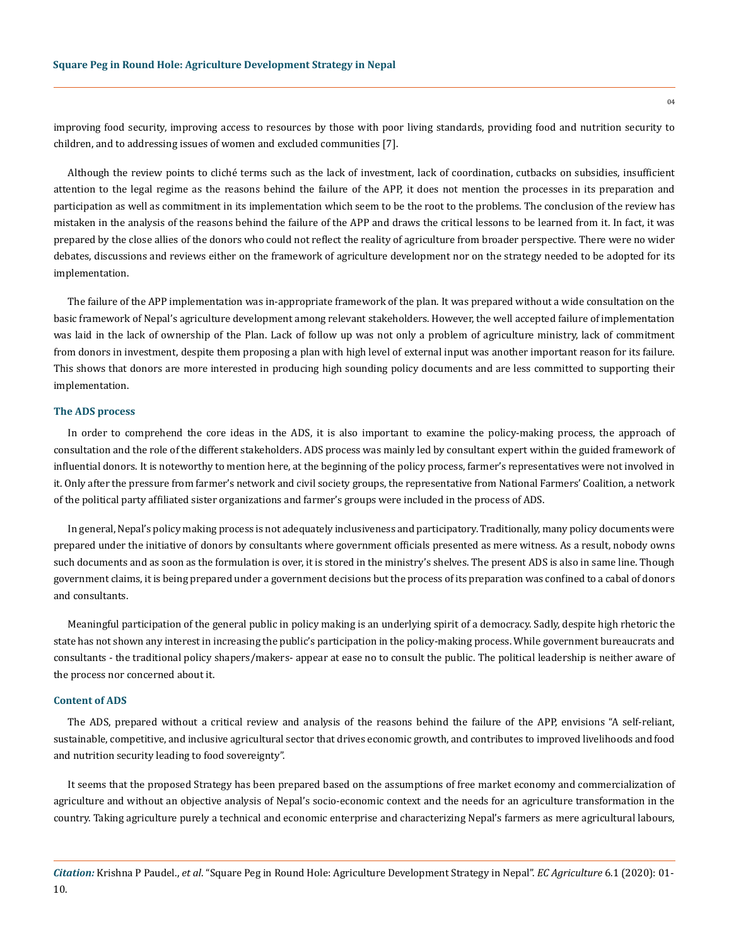improving food security, improving access to resources by those with poor living standards, providing food and nutrition security to children, and to addressing issues of women and excluded communities [7].

Although the review points to cliché terms such as the lack of investment, lack of coordination, cutbacks on subsidies, insufficient attention to the legal regime as the reasons behind the failure of the APP, it does not mention the processes in its preparation and participation as well as commitment in its implementation which seem to be the root to the problems. The conclusion of the review has mistaken in the analysis of the reasons behind the failure of the APP and draws the critical lessons to be learned from it. In fact, it was prepared by the close allies of the donors who could not reflect the reality of agriculture from broader perspective. There were no wider debates, discussions and reviews either on the framework of agriculture development nor on the strategy needed to be adopted for its implementation.

The failure of the APP implementation was in-appropriate framework of the plan. It was prepared without a wide consultation on the basic framework of Nepal's agriculture development among relevant stakeholders. However, the well accepted failure of implementation was laid in the lack of ownership of the Plan. Lack of follow up was not only a problem of agriculture ministry, lack of commitment from donors in investment, despite them proposing a plan with high level of external input was another important reason for its failure. This shows that donors are more interested in producing high sounding policy documents and are less committed to supporting their implementation.

#### **The ADS process**

In order to comprehend the core ideas in the ADS, it is also important to examine the policy-making process, the approach of consultation and the role of the different stakeholders. ADS process was mainly led by consultant expert within the guided framework of influential donors. It is noteworthy to mention here, at the beginning of the policy process, farmer's representatives were not involved in it. Only after the pressure from farmer's network and civil society groups, the representative from National Farmers' Coalition, a network of the political party affiliated sister organizations and farmer's groups were included in the process of ADS.

In general, Nepal's policy making process is not adequately inclusiveness and participatory. Traditionally, many policy documents were prepared under the initiative of donors by consultants where government officials presented as mere witness. As a result, nobody owns such documents and as soon as the formulation is over, it is stored in the ministry's shelves. The present ADS is also in same line. Though government claims, it is being prepared under a government decisions but the process of its preparation was confined to a cabal of donors and consultants.

Meaningful participation of the general public in policy making is an underlying spirit of a democracy. Sadly, despite high rhetoric the state has not shown any interest in increasing the public's participation in the policy-making process. While government bureaucrats and consultants - the traditional policy shapers/makers- appear at ease no to consult the public. The political leadership is neither aware of the process nor concerned about it.

#### **Content of ADS**

The ADS, prepared without a critical review and analysis of the reasons behind the failure of the APP, envisions "A self-reliant, sustainable, competitive, and inclusive agricultural sector that drives economic growth, and contributes to improved livelihoods and food and nutrition security leading to food sovereignty".

It seems that the proposed Strategy has been prepared based on the assumptions of free market economy and commercialization of agriculture and without an objective analysis of Nepal's socio-economic context and the needs for an agriculture transformation in the country. Taking agriculture purely a technical and economic enterprise and characterizing Nepal's farmers as mere agricultural labours,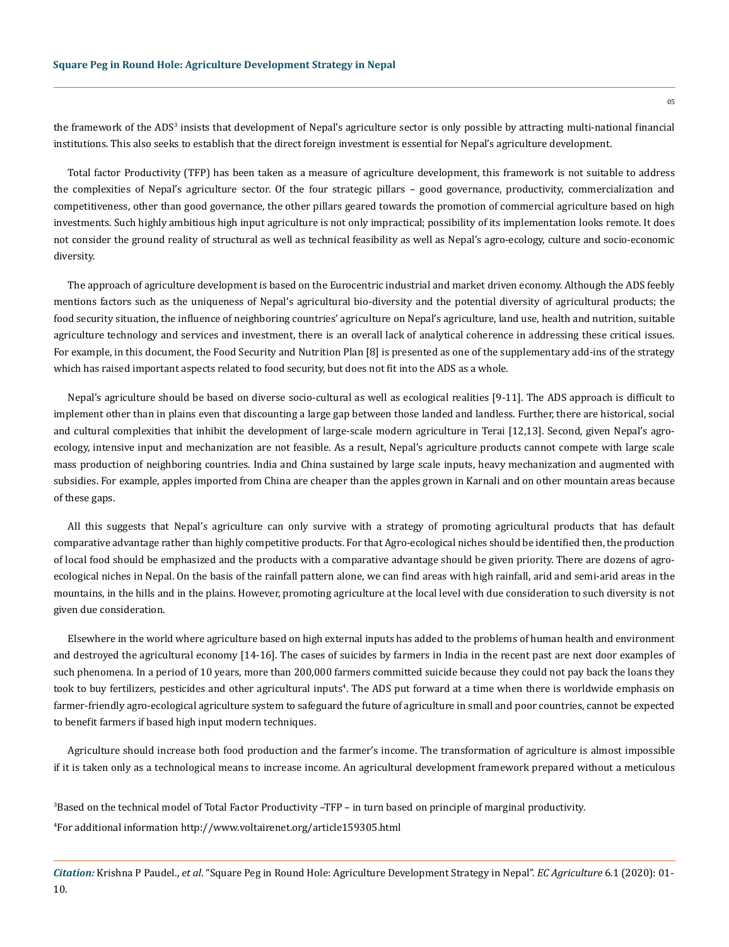the framework of the ADS<sup>3</sup> insists that development of Nepal's agriculture sector is only possible by attracting multi-national financial institutions. This also seeks to establish that the direct foreign investment is essential for Nepal's agriculture development.

Total factor Productivity (TFP) has been taken as a measure of agriculture development, this framework is not suitable to address the complexities of Nepal's agriculture sector. Of the four strategic pillars – good governance, productivity, commercialization and competitiveness, other than good governance, the other pillars geared towards the promotion of commercial agriculture based on high investments. Such highly ambitious high input agriculture is not only impractical; possibility of its implementation looks remote. It does not consider the ground reality of structural as well as technical feasibility as well as Nepal's agro-ecology, culture and socio-economic diversity.

The approach of agriculture development is based on the Eurocentric industrial and market driven economy. Although the ADS feebly mentions factors such as the uniqueness of Nepal's agricultural bio-diversity and the potential diversity of agricultural products; the food security situation, the influence of neighboring countries' agriculture on Nepal's agriculture, land use, health and nutrition, suitable agriculture technology and services and investment, there is an overall lack of analytical coherence in addressing these critical issues. For example, in this document, the Food Security and Nutrition Plan [8] is presented as one of the supplementary add-ins of the strategy which has raised important aspects related to food security, but does not fit into the ADS as a whole.

Nepal's agriculture should be based on diverse socio-cultural as well as ecological realities [9-11]. The ADS approach is difficult to implement other than in plains even that discounting a large gap between those landed and landless. Further, there are historical, social and cultural complexities that inhibit the development of large-scale modern agriculture in Terai [12,13]. Second, given Nepal's agroecology, intensive input and mechanization are not feasible. As a result, Nepal's agriculture products cannot compete with large scale mass production of neighboring countries. India and China sustained by large scale inputs, heavy mechanization and augmented with subsidies. For example, apples imported from China are cheaper than the apples grown in Karnali and on other mountain areas because of these gaps.

All this suggests that Nepal's agriculture can only survive with a strategy of promoting agricultural products that has default comparative advantage rather than highly competitive products. For that Agro-ecological niches should be identified then, the production of local food should be emphasized and the products with a comparative advantage should be given priority. There are dozens of agroecological niches in Nepal. On the basis of the rainfall pattern alone, we can find areas with high rainfall, arid and semi-arid areas in the mountains, in the hills and in the plains. However, promoting agriculture at the local level with due consideration to such diversity is not given due consideration.

Elsewhere in the world where agriculture based on high external inputs has added to the problems of human health and environment and destroyed the agricultural economy [14-16]. The cases of suicides by farmers in India in the recent past are next door examples of such phenomena. In a period of 10 years, more than 200,000 farmers committed suicide because they could not pay back the loans they took to buy fertilizers, pesticides and other agricultural inputs<sup>4</sup>. The ADS put forward at a time when there is worldwide emphasis on farmer-friendly agro-ecological agriculture system to safeguard the future of agriculture in small and poor countries, cannot be expected to benefit farmers if based high input modern techniques.

Agriculture should increase both food production and the farmer's income. The transformation of agriculture is almost impossible if it is taken only as a technological means to increase income. An agricultural development framework prepared without a meticulous

3 Based on the technical model of Total Factor Productivity –TFP – in turn based on principle of marginal productivity. 4 For additional information [http://www.voltairenet.org/article159305.html](https://www.voltairenet.org/article159305.html?__cf_chl_jschl_tk__=f6b70e1c33d617d3049e18f3ceae0bf5cb64801c-1575269115-0-AUTiap9GUnlhHOFDz_MWIIrXFtGUCSLVftK1dmFMXCgOANy7JntuejaJxT-NwuiW0fuXRr7PFlb8ukjukQVQ9_T1nKZVXLFOPneF4N1fL42LC_umOFw_cLKMNu2y62dzkGQ1kZn72vtmB4rH0ojSk3ZWUCGyVqyqfzIVdrXmA6ZENrQqyrcPVlnk_ysTI7ErnSG-xD73zuR1EwHXtnmu5Ac1viXdDnVfEeoqCshtauCRJobUwxgAc8ebt99WeECZsZvn3kyaTZSLBNuRFz8yfcrRcWU4kl4Unc1yI_hfoabY)

*Citation:* Krishna P Paudel., *et al*. "Square Peg in Round Hole: Agriculture Development Strategy in Nepal". *EC Agriculture* 6.1 (2020): 01- 10.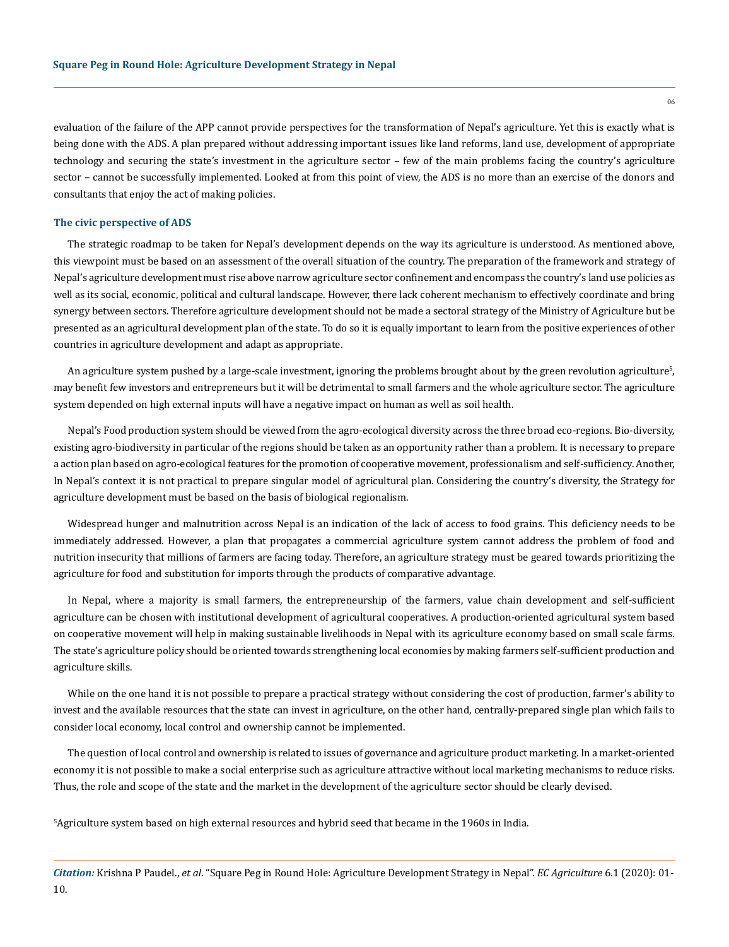evaluation of the failure of the APP cannot provide perspectives for the transformation of Nepal's agriculture. Yet this is exactly what is being done with the ADS. A plan prepared without addressing important issues like land reforms, land use, development of appropriate technology and securing the state's investment in the agriculture sector – few of the main problems facing the country's agriculture sector – cannot be successfully implemented. Looked at from this point of view, the ADS is no more than an exercise of the donors and consultants that enjoy the act of making policies.

#### **The civic perspective of ADS**

The strategic roadmap to be taken for Nepal's development depends on the way its agriculture is understood. As mentioned above, this viewpoint must be based on an assessment of the overall situation of the country. The preparation of the framework and strategy of Nepal's agriculture development must rise above narrow agriculture sector confinement and encompass the country's land use policies as well as its social, economic, political and cultural landscape. However, there lack coherent mechanism to effectively coordinate and bring synergy between sectors. Therefore agriculture development should not be made a sectoral strategy of the Ministry of Agriculture but be presented as an agricultural development plan of the state. To do so it is equally important to learn from the positive experiences of other countries in agriculture development and adapt as appropriate.

An agriculture system pushed by a large-scale investment, ignoring the problems brought about by the green revolution agriculture $^5$ , may benefit few investors and entrepreneurs but it will be detrimental to small farmers and the whole agriculture sector. The agriculture system depended on high external inputs will have a negative impact on human as well as soil health.

Nepal's Food production system should be viewed from the agro-ecological diversity across the three broad eco-regions. Bio-diversity, existing agro-biodiversity in particular of the regions should be taken as an opportunity rather than a problem. It is necessary to prepare a action plan based on agro-ecological features for the promotion of cooperative movement, professionalism and self-sufficiency. Another, In Nepal's context it is not practical to prepare singular model of agricultural plan. Considering the country's diversity, the Strategy for agriculture development must be based on the basis of biological regionalism.

Widespread hunger and malnutrition across Nepal is an indication of the lack of access to food grains. This deficiency needs to be immediately addressed. However, a plan that propagates a commercial agriculture system cannot address the problem of food and nutrition insecurity that millions of farmers are facing today. Therefore, an agriculture strategy must be geared towards prioritizing the agriculture for food and substitution for imports through the products of comparative advantage.

In Nepal, where a majority is small farmers, the entrepreneurship of the farmers, value chain development and self-sufficient agriculture can be chosen with institutional development of agricultural cooperatives. A production-oriented agricultural system based on cooperative movement will help in making sustainable livelihoods in Nepal with its agriculture economy based on small scale farms. The state's agriculture policy should be oriented towards strengthening local economies by making farmers self-sufficient production and agriculture skills.

While on the one hand it is not possible to prepare a practical strategy without considering the cost of production, farmer's ability to invest and the available resources that the state can invest in agriculture, on the other hand, centrally-prepared single plan which fails to consider local economy, local control and ownership cannot be implemented.

The question of local control and ownership is related to issues of governance and agriculture product marketing. In a market-oriented economy it is not possible to make a social enterprise such as agriculture attractive without local marketing mechanisms to reduce risks. Thus, the role and scope of the state and the market in the development of the agriculture sector should be clearly devised.

5 Agriculture system based on high external resources and hybrid seed that became in the 1960s in India.

*Citation:* Krishna P Paudel., *et al*. "Square Peg in Round Hole: Agriculture Development Strategy in Nepal". *EC Agriculture* 6.1 (2020): 01- 10.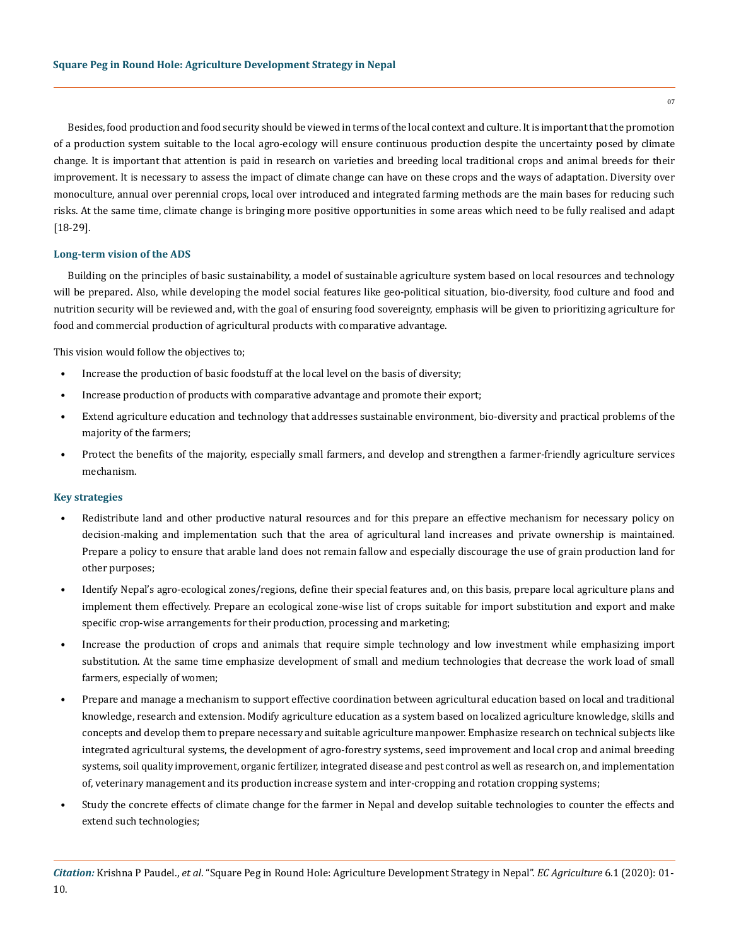Besides, food production and food security should be viewed in terms of the local context and culture. It is important that the promotion of a production system suitable to the local agro-ecology will ensure continuous production despite the uncertainty posed by climate change. It is important that attention is paid in research on varieties and breeding local traditional crops and animal breeds for their improvement. It is necessary to assess the impact of climate change can have on these crops and the ways of adaptation. Diversity over monoculture, annual over perennial crops, local over introduced and integrated farming methods are the main bases for reducing such risks. At the same time, climate change is bringing more positive opportunities in some areas which need to be fully realised and adapt [18-29].

## **Long-term vision of the ADS**

Building on the principles of basic sustainability, a model of sustainable agriculture system based on local resources and technology will be prepared. Also, while developing the model social features like geo-political situation, bio-diversity, food culture and food and nutrition security will be reviewed and, with the goal of ensuring food sovereignty, emphasis will be given to prioritizing agriculture for food and commercial production of agricultural products with comparative advantage.

This vision would follow the objectives to;

- Increase the production of basic foodstuff at the local level on the basis of diversity;
- Increase production of products with comparative advantage and promote their export;
- Extend agriculture education and technology that addresses sustainable environment, bio-diversity and practical problems of the majority of the farmers;
- Protect the benefits of the majority, especially small farmers, and develop and strengthen a farmer-friendly agriculture services mechanism.

#### **Key strategies**

- Redistribute land and other productive natural resources and for this prepare an effective mechanism for necessary policy on decision-making and implementation such that the area of agricultural land increases and private ownership is maintained. Prepare a policy to ensure that arable land does not remain fallow and especially discourage the use of grain production land for other purposes;
- Identify Nepal's agro-ecological zones/regions, define their special features and, on this basis, prepare local agriculture plans and implement them effectively. Prepare an ecological zone-wise list of crops suitable for import substitution and export and make specific crop-wise arrangements for their production, processing and marketing;
- Increase the production of crops and animals that require simple technology and low investment while emphasizing import substitution. At the same time emphasize development of small and medium technologies that decrease the work load of small farmers, especially of women;
- Prepare and manage a mechanism to support effective coordination between agricultural education based on local and traditional knowledge, research and extension. Modify agriculture education as a system based on localized agriculture knowledge, skills and concepts and develop them to prepare necessary and suitable agriculture manpower. Emphasize research on technical subjects like integrated agricultural systems, the development of agro-forestry systems, seed improvement and local crop and animal breeding systems, soil quality improvement, organic fertilizer, integrated disease and pest control as well as research on, and implementation of, veterinary management and its production increase system and inter-cropping and rotation cropping systems;
- Study the concrete effects of climate change for the farmer in Nepal and develop suitable technologies to counter the effects and extend such technologies;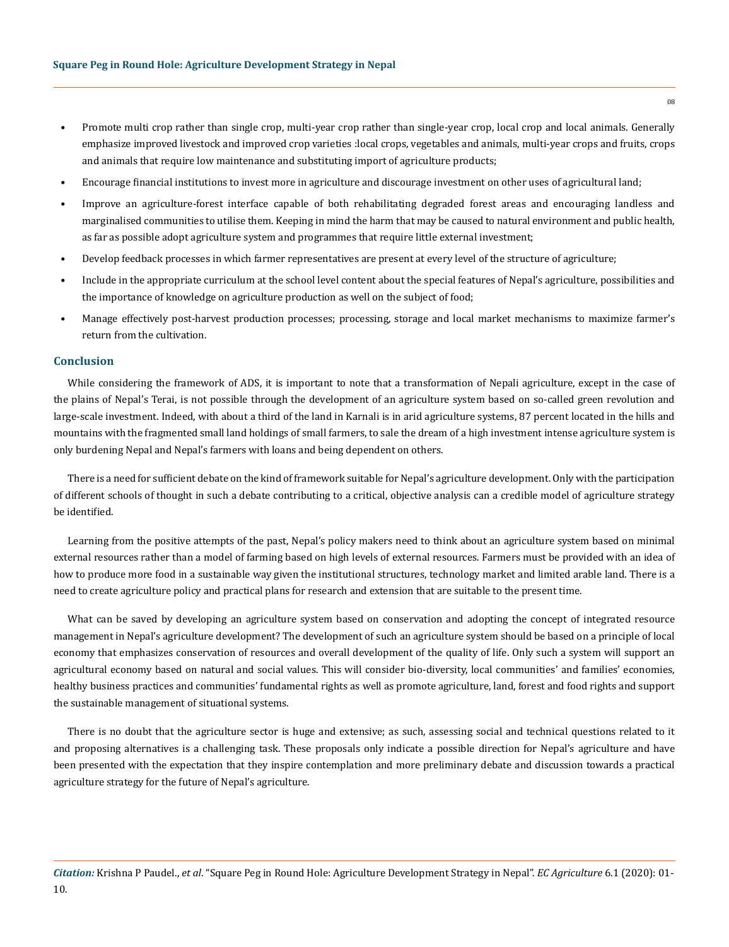- Promote multi crop rather than single crop, multi-year crop rather than single-year crop, local crop and local animals. Generally emphasize improved livestock and improved crop varieties :local crops, vegetables and animals, multi-year crops and fruits, crops and animals that require low maintenance and substituting import of agriculture products;
- Encourage financial institutions to invest more in agriculture and discourage investment on other uses of agricultural land;
- Improve an agriculture-forest interface capable of both rehabilitating degraded forest areas and encouraging landless and marginalised communities to utilise them. Keeping in mind the harm that may be caused to natural environment and public health, as far as possible adopt agriculture system and programmes that require little external investment;
- Develop feedback processes in which farmer representatives are present at every level of the structure of agriculture;
- Include in the appropriate curriculum at the school level content about the special features of Nepal's agriculture, possibilities and the importance of knowledge on agriculture production as well on the subject of food;
- Manage effectively post-harvest production processes; processing, storage and local market mechanisms to maximize farmer's return from the cultivation.

# **Conclusion**

While considering the framework of ADS, it is important to note that a transformation of Nepali agriculture, except in the case of the plains of Nepal's Terai, is not possible through the development of an agriculture system based on so-called green revolution and large-scale investment. Indeed, with about a third of the land in Karnali is in arid agriculture systems, 87 percent located in the hills and mountains with the fragmented small land holdings of small farmers, to sale the dream of a high investment intense agriculture system is only burdening Nepal and Nepal's farmers with loans and being dependent on others.

There is a need for sufficient debate on the kind of framework suitable for Nepal's agriculture development. Only with the participation of different schools of thought in such a debate contributing to a critical, objective analysis can a credible model of agriculture strategy be identified.

Learning from the positive attempts of the past, Nepal's policy makers need to think about an agriculture system based on minimal external resources rather than a model of farming based on high levels of external resources. Farmers must be provided with an idea of how to produce more food in a sustainable way given the institutional structures, technology market and limited arable land. There is a need to create agriculture policy and practical plans for research and extension that are suitable to the present time.

What can be saved by developing an agriculture system based on conservation and adopting the concept of integrated resource management in Nepal's agriculture development? The development of such an agriculture system should be based on a principle of local economy that emphasizes conservation of resources and overall development of the quality of life. Only such a system will support an agricultural economy based on natural and social values. This will consider bio-diversity, local communities' and families' economies, healthy business practices and communities' fundamental rights as well as promote agriculture, land, forest and food rights and support the sustainable management of situational systems.

There is no doubt that the agriculture sector is huge and extensive; as such, assessing social and technical questions related to it and proposing alternatives is a challenging task. These proposals only indicate a possible direction for Nepal's agriculture and have been presented with the expectation that they inspire contemplation and more preliminary debate and discussion towards a practical agriculture strategy for the future of Nepal's agriculture.

*Citation:* Krishna P Paudel., *et al*. "Square Peg in Round Hole: Agriculture Development Strategy in Nepal". *EC Agriculture* 6.1 (2020): 01- 10.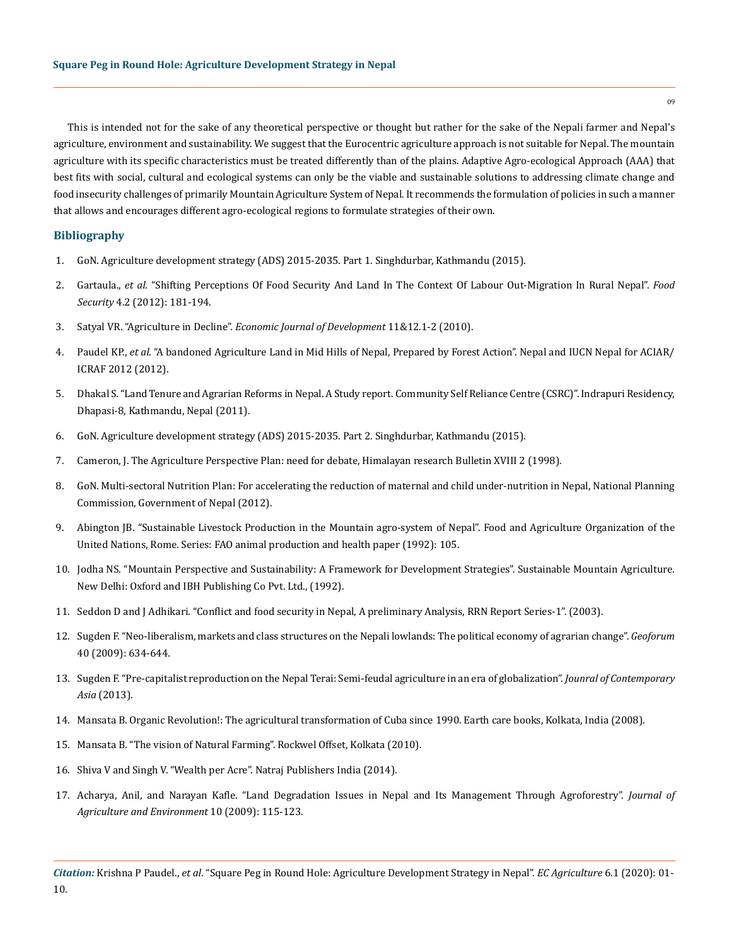This is intended not for the sake of any theoretical perspective or thought but rather for the sake of the Nepali farmer and Nepal's agriculture, environment and sustainability. We suggest that the Eurocentric agriculture approach is not suitable for Nepal. The mountain agriculture with its specific characteristics must be treated differently than of the plains. Adaptive Agro-ecological Approach (AAA) that best fits with social, cultural and ecological systems can only be the viable and sustainable solutions to addressing climate change and food insecurity challenges of primarily Mountain Agriculture System of Nepal. It recommends the formulation of policies in such a manner that allows and encourages different agro-ecological regions to formulate strategies of their own.

# **Bibliography**

- 1. [GoN. Agriculture development strategy \(ADS\) 2015-2035. Part 1. Singhdurbar, Kathmandu \(2015\).](http://www.nnfsp.gov.np/PublicationFiles/a4892686-8e17-4ec5-ae27-bc0bf9cc83ee.pdf)
- 2. Gartaula., *et al*[. "Shifting Perceptions Of Food Security And Land In The Context Of Labour Out-Migration In Rural Nepal".](https://link.springer.com/article/10.1007/s12571-012-0190-3) *Food Security* [4.2 \(2012\): 181-194.](https://link.springer.com/article/10.1007/s12571-012-0190-3)
- 3. Satyal VR. "Agriculture in Decline". *[Economic Journal of Development](http://www.ecifm.rdg.ac.uk/agdecline.htm)* 11&12.1-2 (2010).
- 4. Paudel KP., *et al*. "A bandoned Agriculture Land in Mid Hills of Nepal, Prepared by Forest Action". Nepal and IUCN Nepal for ACIAR/ ICRAF 2012 (2012).
- 5. [Dhakal S. "Land Tenure and Agrarian Reforms in Nepal. A Study report. Community Self Reliance Centre \(CSRC\)". Indrapuri Residency,](http://agris.fao.org/agris-search/search.do?recordID=US201300003478)  [Dhapasi-8, Kathmandu, Nepal \(2011\).](http://agris.fao.org/agris-search/search.do?recordID=US201300003478)
- 6. [GoN. Agriculture development strategy \(ADS\) 2015-2035. Part 2. Singhdurbar, Kathmandu \(2015\).](http://nnfsp.gov.np/PortalContent.aspx?Doctype=Resources&ID=325)
- 7. [Cameron, J. The Agriculture Perspective Plan: need for debate, Himalayan research Bulletin XVIII 2 \(1998\).](https://core.ac.uk/download/pdf/46722882.pdf)
- 8. [GoN. Multi-sectoral Nutrition Plan: For accelerating the reduction of maternal and child under-nutrition in Nepal, National Planning](https://extranet.who.int/nutrition/gina/en/node/11531)  [Commission, Government of Nepal \(2012\).](https://extranet.who.int/nutrition/gina/en/node/11531)
- 9. [Abington JB. "Sustainable Livestock Production in the Mountain agro-system of Nepal". Food and Agriculture Organization of the](http://www.fao.org/docrep/004/t0706e/t0706e00.HTM)  [United Nations, Rome. Series: FAO animal production and health paper \(1992\): 105.](http://www.fao.org/docrep/004/t0706e/t0706e00.HTM)
- 10. [Jodha NS. "Mountain Perspective and Sustainability: A Framework for Development Strategies". Sustainable Mountain Agriculture.](https://www.developmentbookshelf.com/doi/10.3362/9781780443546.002)  [New Delhi: Oxford and IBH Publishing Co Pvt. Ltd., \(1992\).](https://www.developmentbookshelf.com/doi/10.3362/9781780443546.002)
- 11. [Seddon D and J Adhikari. "Conflict and food security in Nepal, A preliminary Analysis, RRN Report Series-1". \(2003\).](C://Users/ACT/Downloads/report_series1.pdf)
- 12. [Sugden F. "Neo-liberalism, markets and class structures on the Nepali lowlands: The political economy of agrarian change".](https://www.sciencedirect.com/science/article/pii/S0016718509000372) *Geoforum* [40 \(2009\): 634-644.](https://www.sciencedirect.com/science/article/pii/S0016718509000372)
- 13. [Sugden F. "Pre-capitalist reproduction on the Nepal Terai: Semi-feudal agriculture in an era of globalization".](https://www.tandfonline.com/doi/abs/10.1080/00472336.2013.763494) *Jounral of Contemporary Asia* [\(2013\).](https://www.tandfonline.com/doi/abs/10.1080/00472336.2013.763494)
- 14. [Mansata B. Organic Revolution!: The agricultural transformation of Cuba since 1990. Earth care books, Kolkata, India \(2008\).](https://archive.org/details/OrganicRevolution-TheAgriculturalTransformationOfCubaSince1990)
- 15. [Mansata B. "The vision of Natural Farming". Rockwel Offset, Kolkata \(2010\).](https://earthcarebooks.com/product/the-vision-of-natural-farming/)
- 16. [Shiva V and Singh V. "Wealth per Acre". Natraj Publishers India \(2014\).](https://books.google.co.in/books/about/Wealth_Per_Acre.html?id=Y439rQEACAAJ&redir_esc=y)
- 17. [Acharya, Anil, and Narayan Kafle. "Land Degradation Issues in Nepal and Its Management Through Agroforestry".](https://www.nepjol.info/index.php/AEJ/article/view/2138) *Journal of [Agriculture and Environment](https://www.nepjol.info/index.php/AEJ/article/view/2138)* 10 (2009): 115-123.